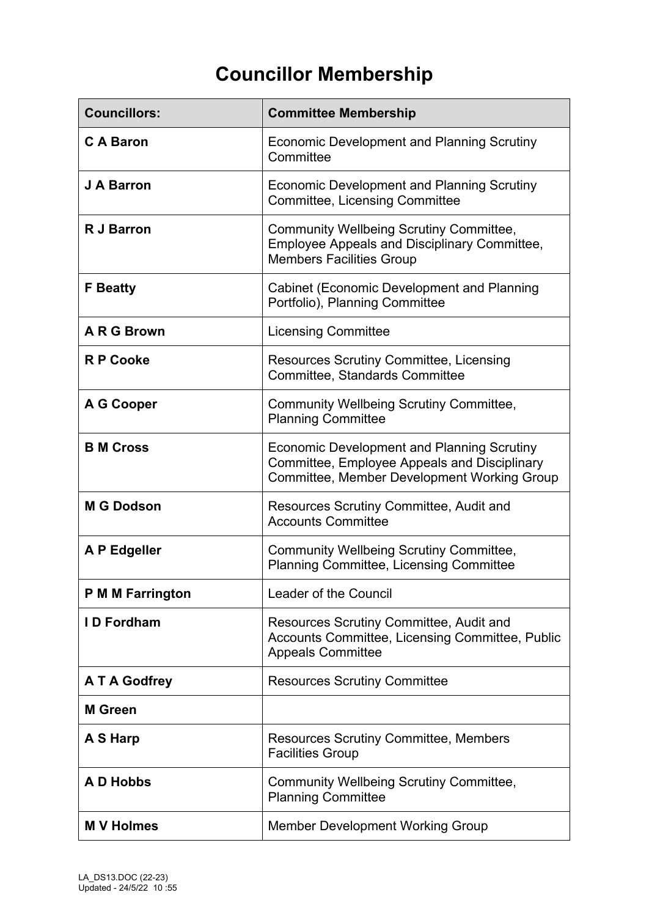## **Councillor Membership**

| <b>Councillors:</b>     | <b>Committee Membership</b>                                                                                                               |
|-------------------------|-------------------------------------------------------------------------------------------------------------------------------------------|
| <b>CA Baron</b>         | Economic Development and Planning Scrutiny<br>Committee                                                                                   |
| J A Barron              | Economic Development and Planning Scrutiny<br><b>Committee, Licensing Committee</b>                                                       |
| <b>R J Barron</b>       | <b>Community Wellbeing Scrutiny Committee,</b><br><b>Employee Appeals and Disciplinary Committee,</b><br><b>Members Facilities Group</b>  |
| <b>F</b> Beatty         | <b>Cabinet (Economic Development and Planning</b><br>Portfolio), Planning Committee                                                       |
| A R G Brown             | <b>Licensing Committee</b>                                                                                                                |
| <b>R P Cooke</b>        | <b>Resources Scrutiny Committee, Licensing</b><br><b>Committee, Standards Committee</b>                                                   |
| A G Cooper              | <b>Community Wellbeing Scrutiny Committee,</b><br><b>Planning Committee</b>                                                               |
| <b>B M Cross</b>        | Economic Development and Planning Scrutiny<br>Committee, Employee Appeals and Disciplinary<br>Committee, Member Development Working Group |
| <b>M G Dodson</b>       | Resources Scrutiny Committee, Audit and<br><b>Accounts Committee</b>                                                                      |
| A P Edgeller            | <b>Community Wellbeing Scrutiny Committee,</b><br><b>Planning Committee, Licensing Committee</b>                                          |
| <b>P M M Farrington</b> | <b>Leader of the Council</b>                                                                                                              |
| <b>ID Fordham</b>       | Resources Scrutiny Committee, Audit and<br>Accounts Committee, Licensing Committee, Public<br><b>Appeals Committee</b>                    |
| A T A Godfrey           | <b>Resources Scrutiny Committee</b>                                                                                                       |
| <b>M</b> Green          |                                                                                                                                           |
| A S Harp                | <b>Resources Scrutiny Committee, Members</b><br><b>Facilities Group</b>                                                                   |
| A D Hobbs               | <b>Community Wellbeing Scrutiny Committee,</b><br><b>Planning Committee</b>                                                               |
| <b>M V Holmes</b>       | <b>Member Development Working Group</b>                                                                                                   |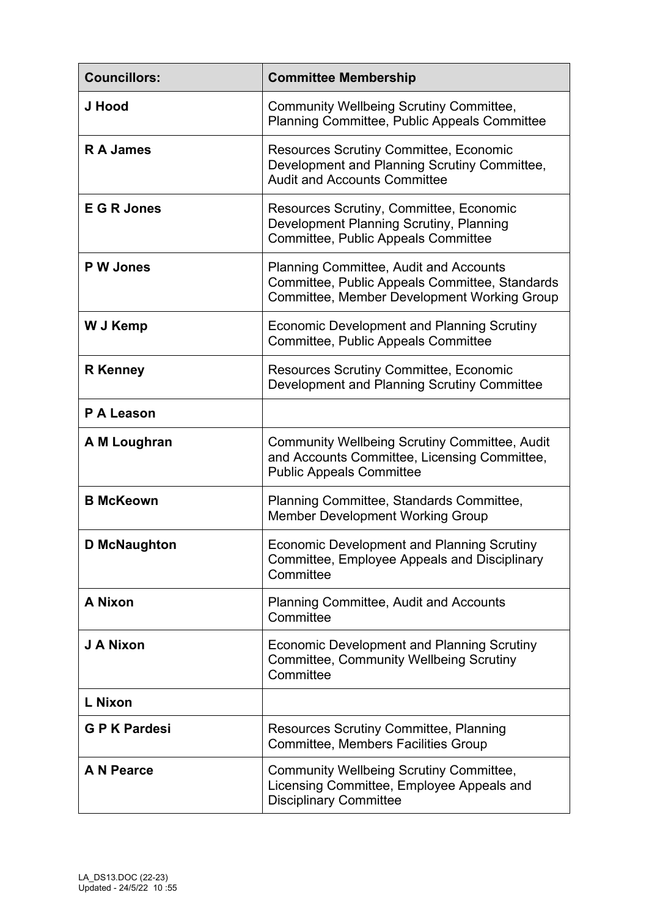| <b>Councillors:</b> | <b>Committee Membership</b>                                                                                                                    |
|---------------------|------------------------------------------------------------------------------------------------------------------------------------------------|
| J Hood              | <b>Community Wellbeing Scrutiny Committee,</b><br><b>Planning Committee, Public Appeals Committee</b>                                          |
| <b>RA James</b>     | <b>Resources Scrutiny Committee, Economic</b><br>Development and Planning Scrutiny Committee,<br><b>Audit and Accounts Committee</b>           |
| <b>E G R Jones</b>  | Resources Scrutiny, Committee, Economic<br>Development Planning Scrutiny, Planning<br>Committee, Public Appeals Committee                      |
| <b>PW Jones</b>     | <b>Planning Committee, Audit and Accounts</b><br>Committee, Public Appeals Committee, Standards<br>Committee, Member Development Working Group |
| W J Kemp            | Economic Development and Planning Scrutiny<br>Committee, Public Appeals Committee                                                              |
| <b>R</b> Kenney     | <b>Resources Scrutiny Committee, Economic</b><br>Development and Planning Scrutiny Committee                                                   |
| P A Leason          |                                                                                                                                                |
| A M Loughran        | <b>Community Wellbeing Scrutiny Committee, Audit</b><br>and Accounts Committee, Licensing Committee,<br><b>Public Appeals Committee</b>        |
| <b>B McKeown</b>    | Planning Committee, Standards Committee,<br><b>Member Development Working Group</b>                                                            |
| <b>D</b> McNaughton | <b>Economic Development and Planning Scrutiny</b><br><b>Committee, Employee Appeals and Disciplinary</b><br>Committee                          |
| <b>A Nixon</b>      | <b>Planning Committee, Audit and Accounts</b><br>Committee                                                                                     |
| J A Nixon           | Economic Development and Planning Scrutiny<br><b>Committee, Community Wellbeing Scrutiny</b><br>Committee                                      |
| L Nixon             |                                                                                                                                                |
| <b>GPK Pardesi</b>  | Resources Scrutiny Committee, Planning<br><b>Committee, Members Facilities Group</b>                                                           |
| <b>A N Pearce</b>   | <b>Community Wellbeing Scrutiny Committee,</b><br>Licensing Committee, Employee Appeals and<br><b>Disciplinary Committee</b>                   |